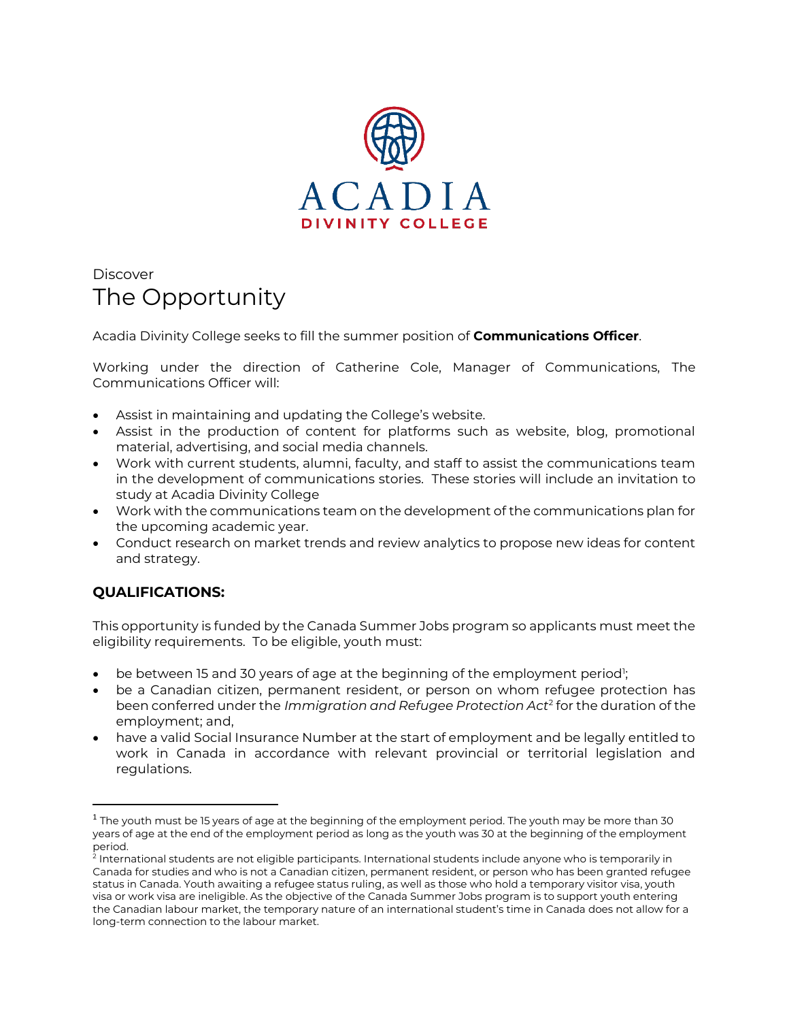

## **Discover** The Opportunity

Acadia Divinity College seeks to fill the summer position of **Communications Officer**.

Working under the direction of Catherine Cole, Manager of Communications, The Communications Officer will:

- Assist in maintaining and updating the College's website.
- Assist in the production of content for platforms such as website, blog, promotional material, advertising, and social media channels.
- Work with current students, alumni, faculty, and staff to assist the communications team in the development of communications stories. These stories will include an invitation to study at Acadia Divinity College
- Work with the communications team on the development of the communications plan for the upcoming academic year.
- Conduct research on market trends and review analytics to propose new ideas for content and strategy.

## **QUALIFICATIONS:**

This opportunity is funded by the Canada Summer Jobs program so applicants must meet the eligibility requirements. To be eligible, youth must:

- $\bullet$  be between 15 and 30 years of age at the beginning of the employment period';
- be a Canadian citizen, permanent resident, or person on whom refugee protection has been conferred under the *Immigration and Refugee Protection Act*<sup>2</sup> for the duration of the employment; and,
- have a valid Social Insurance Number at the start of employment and be legally entitled to work in Canada in accordance with relevant provincial or territorial legislation and regulations.

 $^{\rm 1}$  The youth must be 15 years of age at the beginning of the employment period. The youth may be more than 30  $\,$ years of age at the end of the employment period as long as the youth was 30 at the beginning of the employment period.

<sup>2</sup> International students are not eligible participants. International students include anyone who is temporarily in Canada for studies and who is not a Canadian citizen, permanent resident, or person who has been granted refugee status in Canada. Youth awaiting a refugee status ruling, as well as those who hold a temporary visitor visa, youth visa or work visa are ineligible. As the objective of the Canada Summer Jobs program is to support youth entering the Canadian labour market, the temporary nature of an international student's time in Canada does not allow for a long-term connection to the labour market.